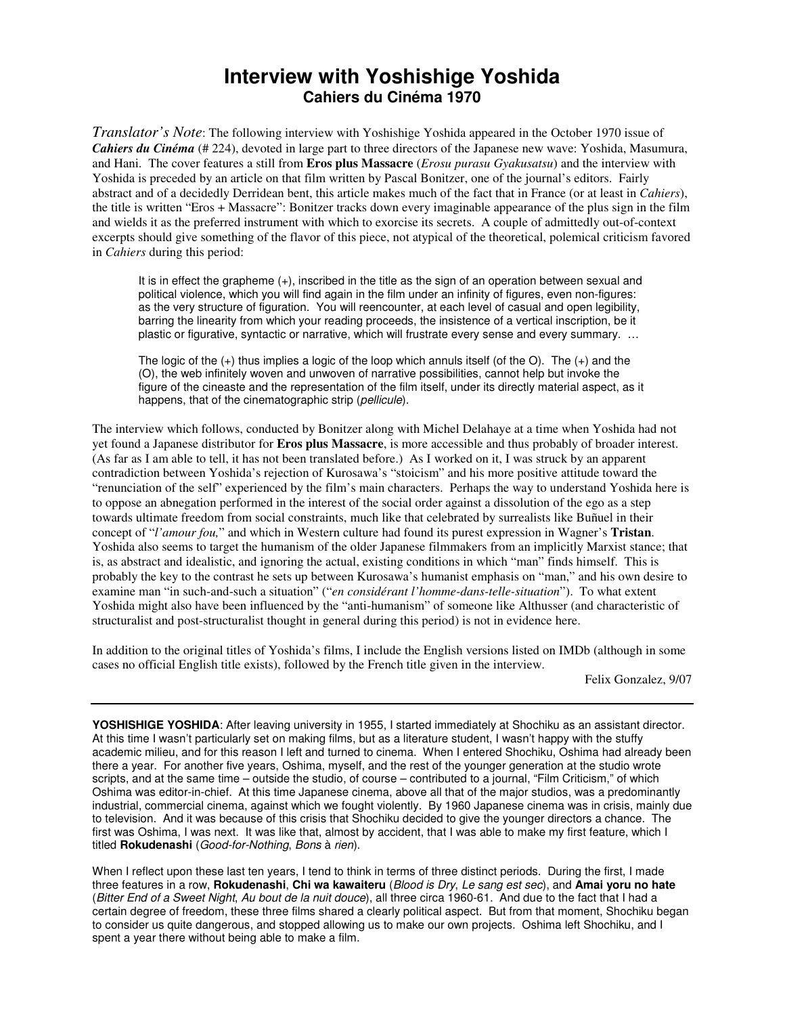## **Interview with Yoshishige Yoshida Cahiers du Cinéma 1970**

*Translator's Note*: The following interview with Yoshishige Yoshida appeared in the October 1970 issue of *Cahiers du Cinéma* (# 224), devoted in large part to three directors of the Japanese new wave: Yoshida, Masumura, and Hani. The cover features a still from **Eros plus Massacre** (*Erosu purasu Gyakusatsu*) and the interview with Yoshida is preceded by an article on that film written by Pascal Bonitzer, one of the journal's editors. Fairly abstract and of a decidedly Derridean bent, this article makes much of the fact that in France (or at least in *Cahiers*), the title is written "Eros + Massacre": Bonitzer tracks down every imaginable appearance of the plus sign in the film and wields it as the preferred instrument with which to exorcise its secrets. A couple of admittedly out-of-context excerpts should give something of the flavor of this piece, not atypical of the theoretical, polemical criticism favored in *Cahiers* during this period:

It is in effect the grapheme (+), inscribed in the title as the sign of an operation between sexual and political violence, which you will find again in the film under an infinity of figures, even non-figures: as the very structure of figuration. You will reencounter, at each level of casual and open legibility, barring the linearity from which your reading proceeds, the insistence of a vertical inscription, be it plastic or figurative, syntactic or narrative, which will frustrate every sense and every summary. …

The logic of the (+) thus implies a logic of the loop which annuls itself (of the O). The (+) and the (O), the web infinitely woven and unwoven of narrative possibilities, cannot help but invoke the figure of the cineaste and the representation of the film itself, under its directly material aspect, as it happens, that of the cinematographic strip (*pellicule*).

The interview which follows, conducted by Bonitzer along with Michel Delahaye at a time when Yoshida had not yet found a Japanese distributor for **Eros plus Massacre**, is more accessible and thus probably of broader interest. (As far as I am able to tell, it has not been translated before.) As I worked on it, I was struck by an apparent contradiction between Yoshida's rejection of Kurosawa's "stoicism" and his more positive attitude toward the "renunciation of the self" experienced by the film's main characters. Perhaps the way to understand Yoshida here is to oppose an abnegation performed in the interest of the social order against a dissolution of the ego as a step towards ultimate freedom from social constraints, much like that celebrated by surrealists like Buñuel in their concept of "*l'amour fou,*" and which in Western culture had found its purest expression in Wagner's **Tristan**. Yoshida also seems to target the humanism of the older Japanese filmmakers from an implicitly Marxist stance; that is, as abstract and idealistic, and ignoring the actual, existing conditions in which "man" finds himself. This is probably the key to the contrast he sets up between Kurosawa's humanist emphasis on "man," and his own desire to examine man "in such-and-such a situation" ("*en considérant l'homme-dans-telle-situation*"). To what extent Yoshida might also have been influenced by the "anti-humanism" of someone like Althusser (and characteristic of structuralist and post-structuralist thought in general during this period) is not in evidence here.

In addition to the original titles of Yoshida's films, I include the English versions listed on IMDb (although in some cases no official English title exists), followed by the French title given in the interview.

Felix Gonzalez, 9/07

**YOSHISHIGE YOSHIDA**: After leaving university in 1955, I started immediately at Shochiku as an assistant director. At this time I wasn't particularly set on making films, but as a literature student, I wasn't happy with the stuffy academic milieu, and for this reason I left and turned to cinema. When I entered Shochiku, Oshima had already been there a year. For another five years, Oshima, myself, and the rest of the younger generation at the studio wrote scripts, and at the same time – outside the studio, of course – contributed to a journal, "Film Criticism," of which Oshima was editor-in-chief. At this time Japanese cinema, above all that of the major studios, was a predominantly industrial, commercial cinema, against which we fought violently. By 1960 Japanese cinema was in crisis, mainly due to television. And it was because of this crisis that Shochiku decided to give the younger directors a chance. The first was Oshima, I was next. It was like that, almost by accident, that I was able to make my first feature, which I titled **Rokudenashi** (Good-for-Nothing, Bons à rien).

When I reflect upon these last ten years, I tend to think in terms of three distinct periods. During the first, I made three features in a row, **Rokudenashi**, **Chi wa kawaiteru** (Blood is Dry, Le sang est sec), and **Amai yoru no hate**  (Bitter End of a Sweet Night, Au bout de la nuit douce), all three circa 1960-61. And due to the fact that I had a certain degree of freedom, these three films shared a clearly political aspect. But from that moment, Shochiku began to consider us quite dangerous, and stopped allowing us to make our own projects. Oshima left Shochiku, and I spent a year there without being able to make a film.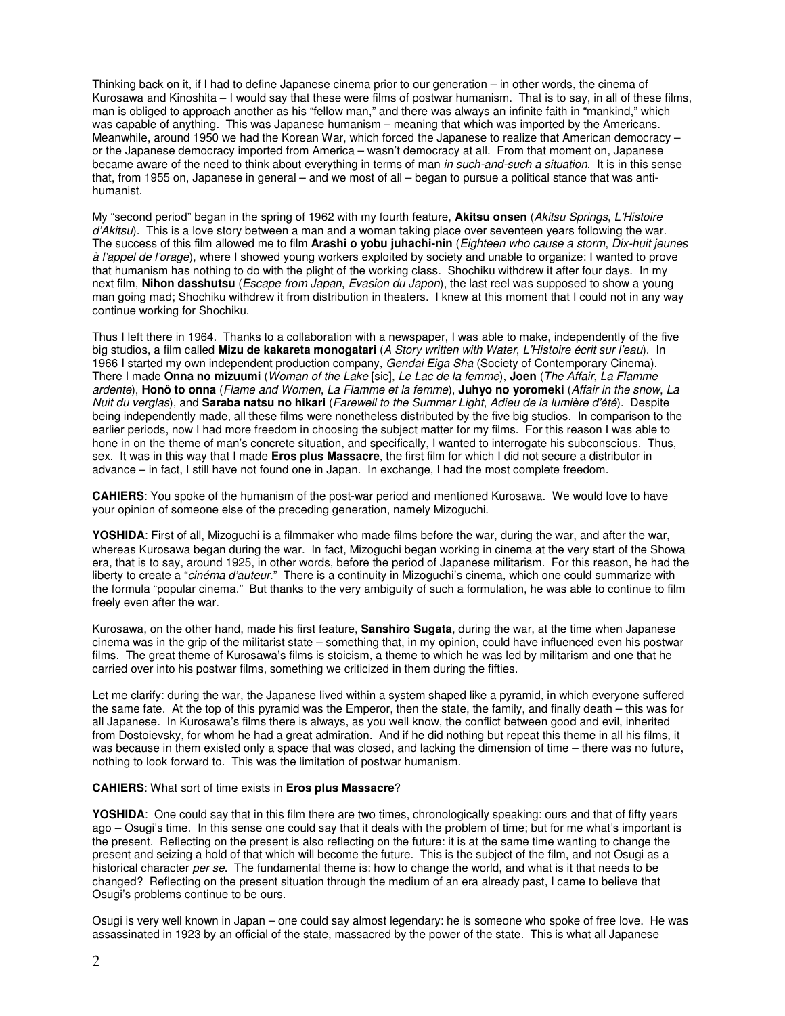Thinking back on it, if I had to define Japanese cinema prior to our generation – in other words, the cinema of Kurosawa and Kinoshita – I would say that these were films of postwar humanism. That is to say, in all of these films, man is obliged to approach another as his "fellow man," and there was always an infinite faith in "mankind," which was capable of anything. This was Japanese humanism – meaning that which was imported by the Americans. Meanwhile, around 1950 we had the Korean War, which forced the Japanese to realize that American democracy – or the Japanese democracy imported from America – wasn't democracy at all. From that moment on, Japanese became aware of the need to think about everything in terms of man in such-and-such a situation. It is in this sense that, from 1955 on, Japanese in general – and we most of all – began to pursue a political stance that was antihumanist.

My "second period" began in the spring of 1962 with my fourth feature, **Akitsu onsen** (Akitsu Springs, L'Histoire d'Akitsu). This is a love story between a man and a woman taking place over seventeen years following the war. The success of this film allowed me to film **Arashi o yobu juhachi-nin** (Eighteen who cause a storm, Dix-huit jeunes à l'appel de l'orage), where I showed young workers exploited by society and unable to organize: I wanted to prove that humanism has nothing to do with the plight of the working class. Shochiku withdrew it after four days. In my next film, **Nihon dasshutsu** (Escape from Japan, Evasion du Japon), the last reel was supposed to show a young man going mad; Shochiku withdrew it from distribution in theaters. I knew at this moment that I could not in any way continue working for Shochiku.

Thus I left there in 1964. Thanks to a collaboration with a newspaper, I was able to make, independently of the five big studios, a film called **Mizu de kakareta monogatari** (A Story written with Water, L'Histoire écrit sur l'eau). In 1966 I started my own independent production company, Gendai Eiga Sha (Society of Contemporary Cinema). There I made **Onna no mizuumi** (Woman of the Lake [sic], Le Lac de la femme), **Joen** (The Affair, La Flamme ardente), **Honô to onna** (Flame and Women, La Flamme et la femme), **Juhyo no yoromeki** (Affair in the snow, La Nuit du verglas), and **Saraba natsu no hikari** (Farewell to the Summer Light, Adieu de la lumière d'été). Despite being independently made, all these films were nonetheless distributed by the five big studios. In comparison to the earlier periods, now I had more freedom in choosing the subject matter for my films. For this reason I was able to hone in on the theme of man's concrete situation, and specifically, I wanted to interrogate his subconscious. Thus, sex. It was in this way that I made **Eros plus Massacre**, the first film for which I did not secure a distributor in advance – in fact, I still have not found one in Japan. In exchange, I had the most complete freedom.

**CAHIERS**: You spoke of the humanism of the post-war period and mentioned Kurosawa. We would love to have your opinion of someone else of the preceding generation, namely Mizoguchi.

**YOSHIDA**: First of all, Mizoguchi is a filmmaker who made films before the war, during the war, and after the war, whereas Kurosawa began during the war. In fact, Mizoguchi began working in cinema at the very start of the Showa era, that is to say, around 1925, in other words, before the period of Japanese militarism. For this reason, he had the liberty to create a "cinéma d'auteur." There is a continuity in Mizoguchi's cinema, which one could summarize with the formula "popular cinema." But thanks to the very ambiguity of such a formulation, he was able to continue to film freely even after the war.

Kurosawa, on the other hand, made his first feature, **Sanshiro Sugata**, during the war, at the time when Japanese cinema was in the grip of the militarist state – something that, in my opinion, could have influenced even his postwar films. The great theme of Kurosawa's films is stoicism, a theme to which he was led by militarism and one that he carried over into his postwar films, something we criticized in them during the fifties.

Let me clarify: during the war, the Japanese lived within a system shaped like a pyramid, in which everyone suffered the same fate. At the top of this pyramid was the Emperor, then the state, the family, and finally death – this was for all Japanese. In Kurosawa's films there is always, as you well know, the conflict between good and evil, inherited from Dostoievsky, for whom he had a great admiration. And if he did nothing but repeat this theme in all his films, it was because in them existed only a space that was closed, and lacking the dimension of time – there was no future, nothing to look forward to. This was the limitation of postwar humanism.

## **CAHIERS**: What sort of time exists in **Eros plus Massacre**?

**YOSHIDA**: One could say that in this film there are two times, chronologically speaking: ours and that of fifty years ago – Osugi's time. In this sense one could say that it deals with the problem of time; but for me what's important is the present. Reflecting on the present is also reflecting on the future: it is at the same time wanting to change the present and seizing a hold of that which will become the future. This is the subject of the film, and not Osugi as a historical character per se. The fundamental theme is: how to change the world, and what is it that needs to be changed? Reflecting on the present situation through the medium of an era already past, I came to believe that Osugi's problems continue to be ours.

Osugi is very well known in Japan – one could say almost legendary: he is someone who spoke of free love. He was assassinated in 1923 by an official of the state, massacred by the power of the state. This is what all Japanese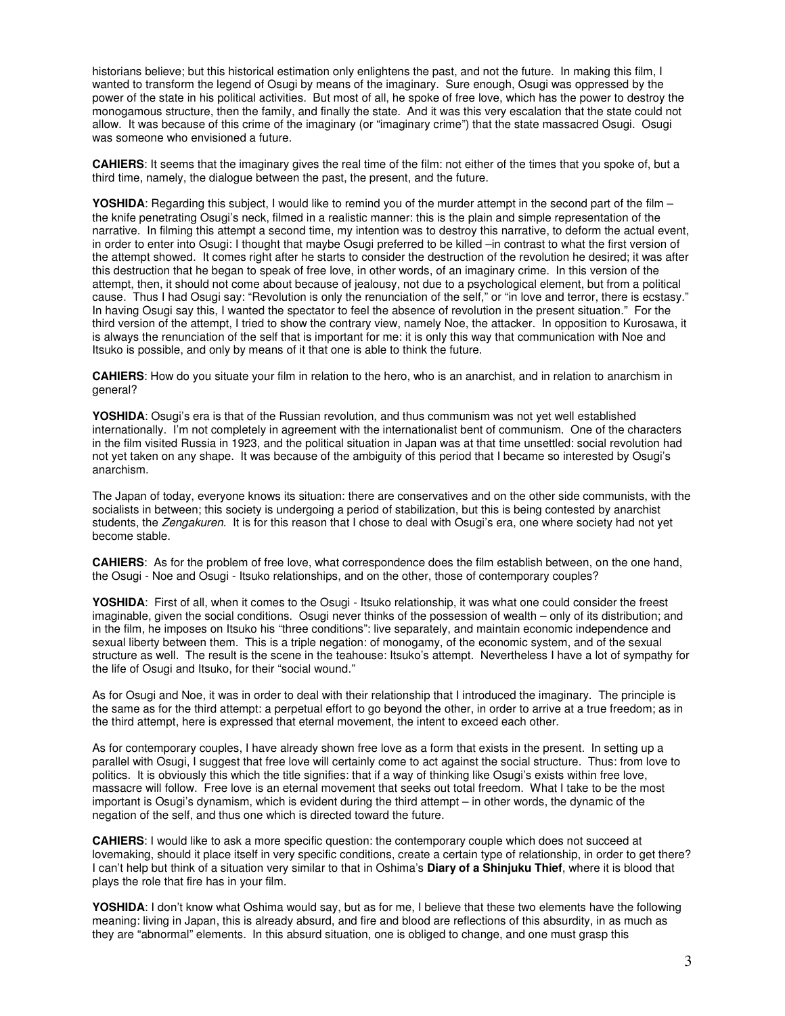historians believe; but this historical estimation only enlightens the past, and not the future. In making this film, I wanted to transform the legend of Osugi by means of the imaginary. Sure enough, Osugi was oppressed by the power of the state in his political activities. But most of all, he spoke of free love, which has the power to destroy the monogamous structure, then the family, and finally the state. And it was this very escalation that the state could not allow. It was because of this crime of the imaginary (or "imaginary crime") that the state massacred Osugi. Osugi was someone who envisioned a future.

**CAHIERS**: It seems that the imaginary gives the real time of the film: not either of the times that you spoke of, but a third time, namely, the dialogue between the past, the present, and the future.

**YOSHIDA**: Regarding this subject, I would like to remind you of the murder attempt in the second part of the film – the knife penetrating Osugi's neck, filmed in a realistic manner: this is the plain and simple representation of the narrative. In filming this attempt a second time, my intention was to destroy this narrative, to deform the actual event, in order to enter into Osugi: I thought that maybe Osugi preferred to be killed –in contrast to what the first version of the attempt showed. It comes right after he starts to consider the destruction of the revolution he desired; it was after this destruction that he began to speak of free love, in other words, of an imaginary crime. In this version of the attempt, then, it should not come about because of jealousy, not due to a psychological element, but from a political cause. Thus I had Osugi say: "Revolution is only the renunciation of the self," or "in love and terror, there is ecstasy." In having Osugi say this, I wanted the spectator to feel the absence of revolution in the present situation." For the third version of the attempt, I tried to show the contrary view, namely Noe, the attacker. In opposition to Kurosawa, it is always the renunciation of the self that is important for me: it is only this way that communication with Noe and Itsuko is possible, and only by means of it that one is able to think the future.

**CAHIERS**: How do you situate your film in relation to the hero, who is an anarchist, and in relation to anarchism in general?

**YOSHIDA**: Osugi's era is that of the Russian revolution, and thus communism was not yet well established internationally. I'm not completely in agreement with the internationalist bent of communism. One of the characters in the film visited Russia in 1923, and the political situation in Japan was at that time unsettled: social revolution had not yet taken on any shape. It was because of the ambiguity of this period that I became so interested by Osugi's anarchism.

The Japan of today, everyone knows its situation: there are conservatives and on the other side communists, with the socialists in between; this society is undergoing a period of stabilization, but this is being contested by anarchist students, the Zengakuren. It is for this reason that I chose to deal with Osugi's era, one where society had not yet become stable.

**CAHIERS**: As for the problem of free love, what correspondence does the film establish between, on the one hand, the Osugi - Noe and Osugi - Itsuko relationships, and on the other, those of contemporary couples?

**YOSHIDA**: First of all, when it comes to the Osugi - Itsuko relationship, it was what one could consider the freest imaginable, given the social conditions. Osugi never thinks of the possession of wealth – only of its distribution; and in the film, he imposes on Itsuko his "three conditions": live separately, and maintain economic independence and sexual liberty between them. This is a triple negation: of monogamy, of the economic system, and of the sexual structure as well. The result is the scene in the teahouse: Itsuko's attempt. Nevertheless I have a lot of sympathy for the life of Osugi and Itsuko, for their "social wound."

As for Osugi and Noe, it was in order to deal with their relationship that I introduced the imaginary. The principle is the same as for the third attempt: a perpetual effort to go beyond the other, in order to arrive at a true freedom; as in the third attempt, here is expressed that eternal movement, the intent to exceed each other.

As for contemporary couples, I have already shown free love as a form that exists in the present. In setting up a parallel with Osugi, I suggest that free love will certainly come to act against the social structure. Thus: from love to politics. It is obviously this which the title signifies: that if a way of thinking like Osugi's exists within free love, massacre will follow. Free love is an eternal movement that seeks out total freedom. What I take to be the most important is Osugi's dynamism, which is evident during the third attempt – in other words, the dynamic of the negation of the self, and thus one which is directed toward the future.

**CAHIERS**: I would like to ask a more specific question: the contemporary couple which does not succeed at lovemaking, should it place itself in very specific conditions, create a certain type of relationship, in order to get there? I can't help but think of a situation very similar to that in Oshima's **Diary of a Shinjuku Thief**, where it is blood that plays the role that fire has in your film.

**YOSHIDA**: I don't know what Oshima would say, but as for me, I believe that these two elements have the following meaning: living in Japan, this is already absurd, and fire and blood are reflections of this absurdity, in as much as they are "abnormal" elements. In this absurd situation, one is obliged to change, and one must grasp this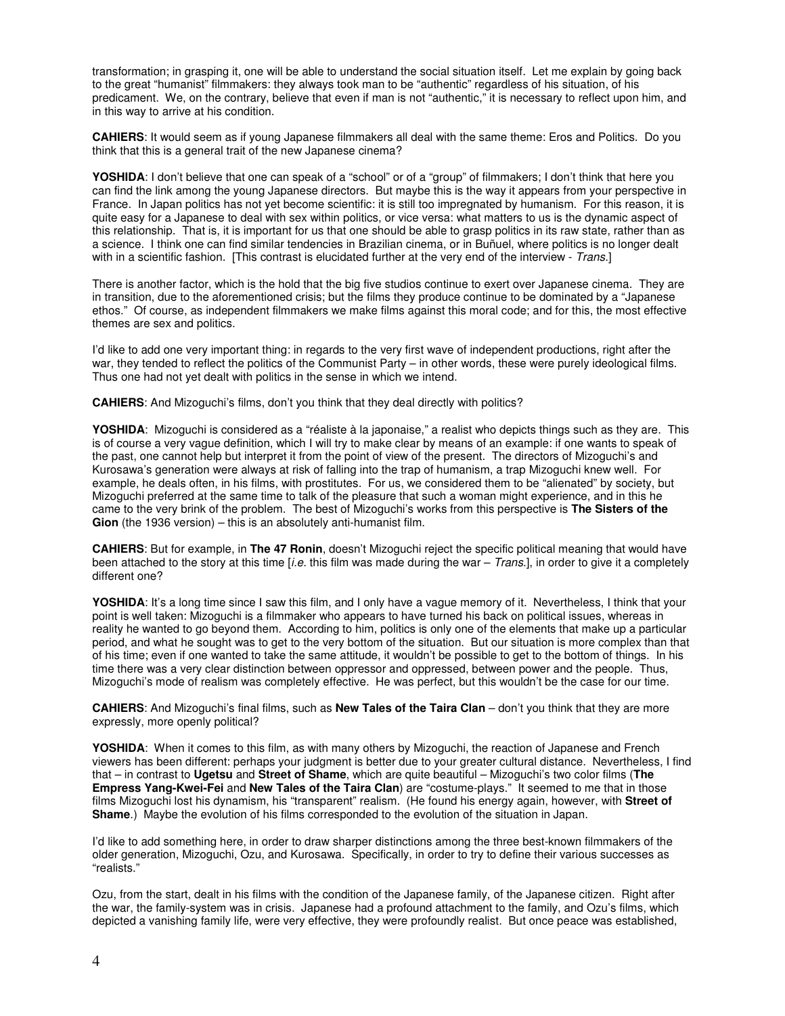transformation; in grasping it, one will be able to understand the social situation itself. Let me explain by going back to the great "humanist" filmmakers: they always took man to be "authentic" regardless of his situation, of his predicament. We, on the contrary, believe that even if man is not "authentic," it is necessary to reflect upon him, and in this way to arrive at his condition.

**CAHIERS**: It would seem as if young Japanese filmmakers all deal with the same theme: Eros and Politics. Do you think that this is a general trait of the new Japanese cinema?

YOSHIDA: I don't believe that one can speak of a "school" or of a "group" of filmmakers; I don't think that here you can find the link among the young Japanese directors. But maybe this is the way it appears from your perspective in France. In Japan politics has not yet become scientific: it is still too impregnated by humanism. For this reason, it is quite easy for a Japanese to deal with sex within politics, or vice versa: what matters to us is the dynamic aspect of this relationship. That is, it is important for us that one should be able to grasp politics in its raw state, rather than as a science. I think one can find similar tendencies in Brazilian cinema, or in Buñuel, where politics is no longer dealt with in a scientific fashion. [This contrast is elucidated further at the very end of the interview - Trans.]

There is another factor, which is the hold that the big five studios continue to exert over Japanese cinema. They are in transition, due to the aforementioned crisis; but the films they produce continue to be dominated by a "Japanese ethos." Of course, as independent filmmakers we make films against this moral code; and for this, the most effective themes are sex and politics.

I'd like to add one very important thing: in regards to the very first wave of independent productions, right after the war, they tended to reflect the politics of the Communist Party – in other words, these were purely ideological films. Thus one had not yet dealt with politics in the sense in which we intend.

**CAHIERS**: And Mizoguchi's films, don't you think that they deal directly with politics?

**YOSHIDA**: Mizoguchi is considered as a "réaliste à la japonaise," a realist who depicts things such as they are. This is of course a very vague definition, which I will try to make clear by means of an example: if one wants to speak of the past, one cannot help but interpret it from the point of view of the present. The directors of Mizoguchi's and Kurosawa's generation were always at risk of falling into the trap of humanism, a trap Mizoguchi knew well. For example, he deals often, in his films, with prostitutes. For us, we considered them to be "alienated" by society, but Mizoguchi preferred at the same time to talk of the pleasure that such a woman might experience, and in this he came to the very brink of the problem. The best of Mizoguchi's works from this perspective is **The Sisters of the Gion** (the 1936 version) – this is an absolutely anti-humanist film.

**CAHIERS**: But for example, in **The 47 Ronin**, doesn't Mizoguchi reject the specific political meaning that would have been attached to the story at this time  $[i.e.$  this film was made during the war – Trans.], in order to give it a completely different one?

YOSHIDA: It's a long time since I saw this film, and I only have a vague memory of it. Nevertheless, I think that your point is well taken: Mizoguchi is a filmmaker who appears to have turned his back on political issues, whereas in reality he wanted to go beyond them. According to him, politics is only one of the elements that make up a particular period, and what he sought was to get to the very bottom of the situation. But our situation is more complex than that of his time; even if one wanted to take the same attitude, it wouldn't be possible to get to the bottom of things. In his time there was a very clear distinction between oppressor and oppressed, between power and the people. Thus, Mizoguchi's mode of realism was completely effective. He was perfect, but this wouldn't be the case for our time.

**CAHIERS**: And Mizoguchi's final films, such as **New Tales of the Taira Clan** – don't you think that they are more expressly, more openly political?

**YOSHIDA:** When it comes to this film, as with many others by Mizoguchi, the reaction of Japanese and French viewers has been different: perhaps your judgment is better due to your greater cultural distance. Nevertheless, I find that – in contrast to **Ugetsu** and **Street of Shame**, which are quite beautiful – Mizoguchi's two color films (**The Empress Yang-Kwei-Fei** and **New Tales of the Taira Clan**) are "costume-plays." It seemed to me that in those films Mizoguchi lost his dynamism, his "transparent" realism. (He found his energy again, however, with **Street of Shame**.) Maybe the evolution of his films corresponded to the evolution of the situation in Japan.

I'd like to add something here, in order to draw sharper distinctions among the three best-known filmmakers of the older generation, Mizoguchi, Ozu, and Kurosawa. Specifically, in order to try to define their various successes as "realists."

Ozu, from the start, dealt in his films with the condition of the Japanese family, of the Japanese citizen. Right after the war, the family-system was in crisis. Japanese had a profound attachment to the family, and Ozu's films, which depicted a vanishing family life, were very effective, they were profoundly realist. But once peace was established,